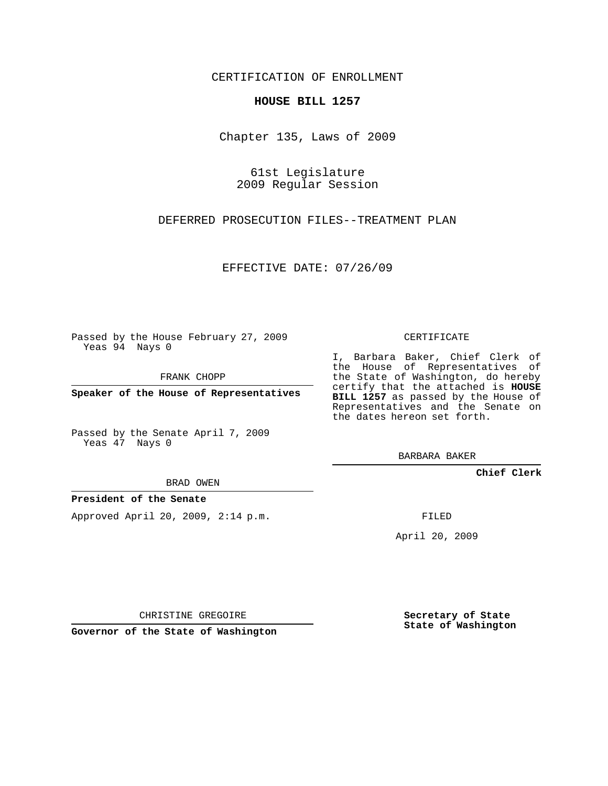## CERTIFICATION OF ENROLLMENT

## **HOUSE BILL 1257**

Chapter 135, Laws of 2009

61st Legislature 2009 Regular Session

DEFERRED PROSECUTION FILES--TREATMENT PLAN

EFFECTIVE DATE: 07/26/09

Passed by the House February 27, 2009 Yeas 94 Nays 0

FRANK CHOPP

**Speaker of the House of Representatives**

Passed by the Senate April 7, 2009 Yeas 47 Nays 0

BRAD OWEN

## **President of the Senate**

Approved April 20, 2009, 2:14 p.m.

CERTIFICATE

I, Barbara Baker, Chief Clerk of the House of Representatives of the State of Washington, do hereby certify that the attached is **HOUSE BILL 1257** as passed by the House of Representatives and the Senate on the dates hereon set forth.

BARBARA BAKER

**Chief Clerk**

FILED

April 20, 2009

CHRISTINE GREGOIRE

**Governor of the State of Washington**

**Secretary of State State of Washington**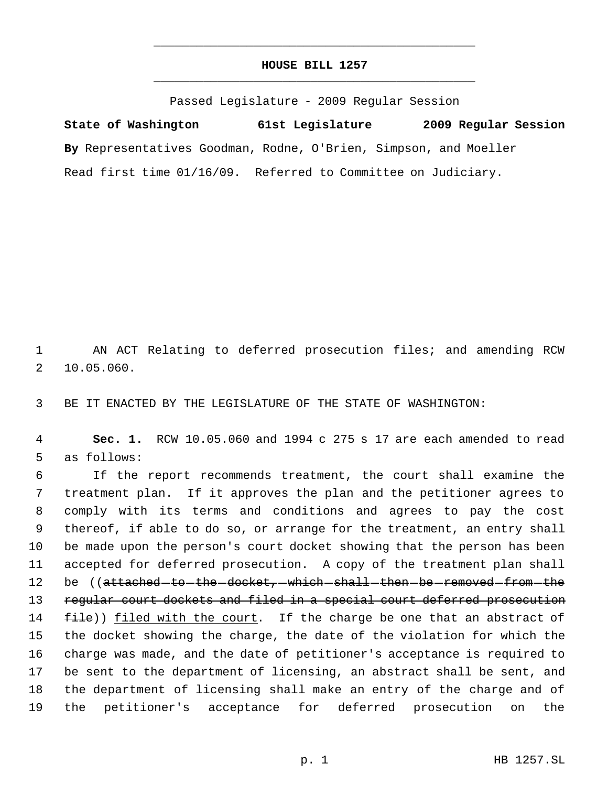## **HOUSE BILL 1257** \_\_\_\_\_\_\_\_\_\_\_\_\_\_\_\_\_\_\_\_\_\_\_\_\_\_\_\_\_\_\_\_\_\_\_\_\_\_\_\_\_\_\_\_\_

\_\_\_\_\_\_\_\_\_\_\_\_\_\_\_\_\_\_\_\_\_\_\_\_\_\_\_\_\_\_\_\_\_\_\_\_\_\_\_\_\_\_\_\_\_

Passed Legislature - 2009 Regular Session

**State of Washington 61st Legislature 2009 Regular Session By** Representatives Goodman, Rodne, O'Brien, Simpson, and Moeller Read first time 01/16/09. Referred to Committee on Judiciary.

 1 AN ACT Relating to deferred prosecution files; and amending RCW 2 10.05.060.

3 BE IT ENACTED BY THE LEGISLATURE OF THE STATE OF WASHINGTON:

 4 **Sec. 1.** RCW 10.05.060 and 1994 c 275 s 17 are each amended to read 5 as follows:

 If the report recommends treatment, the court shall examine the treatment plan. If it approves the plan and the petitioner agrees to comply with its terms and conditions and agrees to pay the cost thereof, if able to do so, or arrange for the treatment, an entry shall be made upon the person's court docket showing that the person has been accepted for deferred prosecution. A copy of the treatment plan shall 12 be ((attached to the docket, which shall then be removed from the 13 regular court dockets and filed in a special court deferred prosecution  $file()$  filed with the court. If the charge be one that an abstract of the docket showing the charge, the date of the violation for which the charge was made, and the date of petitioner's acceptance is required to be sent to the department of licensing, an abstract shall be sent, and the department of licensing shall make an entry of the charge and of the petitioner's acceptance for deferred prosecution on the